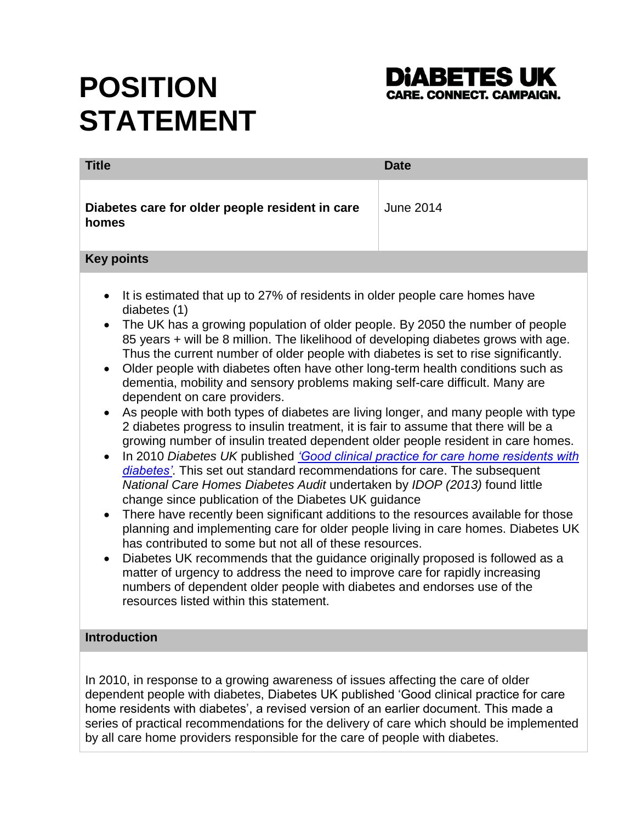# **POSITION STATEMENT**



| <b>Title</b>                                                                                                                                                                                                                                                                                                                                                                                                                                                                                                                                                                                                                                                                                                                                                                                                                                                                                                                                                                                                                                                                                                                                                                                                                                                                                                                                                                                                                                                                                                                                                                                                                                                                                                                                       | <b>Date</b>      |
|----------------------------------------------------------------------------------------------------------------------------------------------------------------------------------------------------------------------------------------------------------------------------------------------------------------------------------------------------------------------------------------------------------------------------------------------------------------------------------------------------------------------------------------------------------------------------------------------------------------------------------------------------------------------------------------------------------------------------------------------------------------------------------------------------------------------------------------------------------------------------------------------------------------------------------------------------------------------------------------------------------------------------------------------------------------------------------------------------------------------------------------------------------------------------------------------------------------------------------------------------------------------------------------------------------------------------------------------------------------------------------------------------------------------------------------------------------------------------------------------------------------------------------------------------------------------------------------------------------------------------------------------------------------------------------------------------------------------------------------------------|------------------|
| Diabetes care for older people resident in care<br>homes                                                                                                                                                                                                                                                                                                                                                                                                                                                                                                                                                                                                                                                                                                                                                                                                                                                                                                                                                                                                                                                                                                                                                                                                                                                                                                                                                                                                                                                                                                                                                                                                                                                                                           | <b>June 2014</b> |
| <b>Key points</b>                                                                                                                                                                                                                                                                                                                                                                                                                                                                                                                                                                                                                                                                                                                                                                                                                                                                                                                                                                                                                                                                                                                                                                                                                                                                                                                                                                                                                                                                                                                                                                                                                                                                                                                                  |                  |
| It is estimated that up to 27% of residents in older people care homes have<br>$\bullet$<br>diabetes (1)<br>The UK has a growing population of older people. By 2050 the number of people<br>$\bullet$<br>85 years + will be 8 million. The likelihood of developing diabetes grows with age.<br>Thus the current number of older people with diabetes is set to rise significantly.<br>Older people with diabetes often have other long-term health conditions such as<br>$\bullet$<br>dementia, mobility and sensory problems making self-care difficult. Many are<br>dependent on care providers.<br>As people with both types of diabetes are living longer, and many people with type<br>2 diabetes progress to insulin treatment, it is fair to assume that there will be a<br>growing number of insulin treated dependent older people resident in care homes.<br>In 2010 Diabetes UK published 'Good clinical practice for care home residents with<br>$\bullet$<br>diabetes'. This set out standard recommendations for care. The subsequent<br>National Care Homes Diabetes Audit undertaken by IDOP (2013) found little<br>change since publication of the Diabetes UK guidance<br>There have recently been significant additions to the resources available for those<br>$\bullet$<br>planning and implementing care for older people living in care homes. Diabetes UK<br>has contributed to some but not all of these resources.<br>Diabetes UK recommends that the guidance originally proposed is followed as a<br>$\bullet$<br>matter of urgency to address the need to improve care for rapidly increasing<br>numbers of dependent older people with diabetes and endorses use of the<br>resources listed within this statement. |                  |
| <b>Introduction</b>                                                                                                                                                                                                                                                                                                                                                                                                                                                                                                                                                                                                                                                                                                                                                                                                                                                                                                                                                                                                                                                                                                                                                                                                                                                                                                                                                                                                                                                                                                                                                                                                                                                                                                                                |                  |
| $\ln 2010$ in recognes to a growing awareness of issues affecting the care of older                                                                                                                                                                                                                                                                                                                                                                                                                                                                                                                                                                                                                                                                                                                                                                                                                                                                                                                                                                                                                                                                                                                                                                                                                                                                                                                                                                                                                                                                                                                                                                                                                                                                |                  |

In 2010, in response to a growing awareness of issues affecting the care of older dependent people with diabetes, Diabetes UK published 'Good clinical practice for care home residents with diabetes', a revised version of an earlier document. This made a series of practical recommendations for the delivery of care which should be implemented by all care home providers responsible for the care of people with diabetes.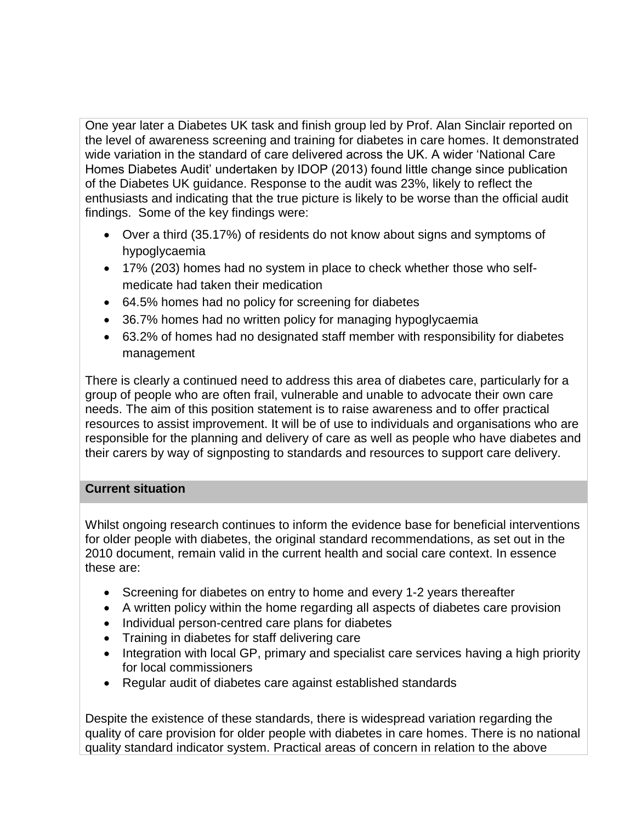One year later a Diabetes UK task and finish group led by Prof. Alan Sinclair reported on the level of awareness screening and training for diabetes in care homes. It demonstrated wide variation in the standard of care delivered across the UK. A wider 'National Care Homes Diabetes Audit' undertaken by IDOP (2013) found little change since publication of the Diabetes UK guidance. Response to the audit was 23%, likely to reflect the enthusiasts and indicating that the true picture is likely to be worse than the official audit findings. Some of the key findings were:

- Over a third (35.17%) of residents do not know about signs and symptoms of hypoglycaemia
- 17% (203) homes had no system in place to check whether those who selfmedicate had taken their medication
- 64.5% homes had no policy for screening for diabetes
- 36.7% homes had no written policy for managing hypoglycaemia
- 63.2% of homes had no designated staff member with responsibility for diabetes management

There is clearly a continued need to address this area of diabetes care, particularly for a group of people who are often frail, vulnerable and unable to advocate their own care needs. The aim of this position statement is to raise awareness and to offer practical resources to assist improvement. It will be of use to individuals and organisations who are responsible for the planning and delivery of care as well as people who have diabetes and their carers by way of signposting to standards and resources to support care delivery.

## **Current situation**

Whilst ongoing research continues to inform the evidence base for beneficial interventions for older people with diabetes, the original standard recommendations, as set out in the 2010 document, remain valid in the current health and social care context. In essence these are:

- Screening for diabetes on entry to home and every 1-2 years thereafter
- A written policy within the home regarding all aspects of diabetes care provision
- Individual person-centred care plans for diabetes
- Training in diabetes for staff delivering care
- Integration with local GP, primary and specialist care services having a high priority for local commissioners
- Regular audit of diabetes care against established standards

Despite the existence of these standards, there is widespread variation regarding the quality of care provision for older people with diabetes in care homes. There is no national quality standard indicator system. Practical areas of concern in relation to the above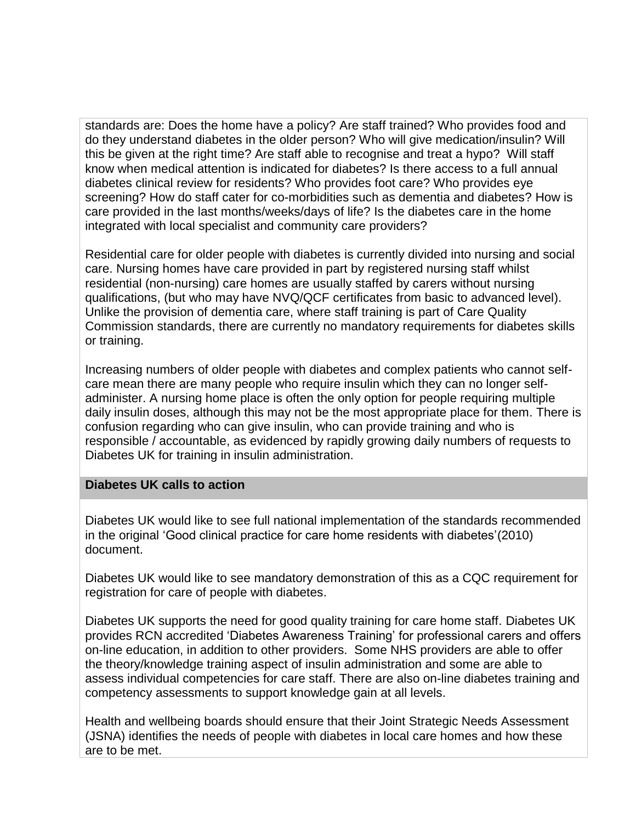standards are: Does the home have a policy? Are staff trained? Who provides food and do they understand diabetes in the older person? Who will give medication/insulin? Will this be given at the right time? Are staff able to recognise and treat a hypo? Will staff know when medical attention is indicated for diabetes? Is there access to a full annual diabetes clinical review for residents? Who provides foot care? Who provides eye screening? How do staff cater for co-morbidities such as dementia and diabetes? How is care provided in the last months/weeks/days of life? Is the diabetes care in the home integrated with local specialist and community care providers?

Residential care for older people with diabetes is currently divided into nursing and social care. Nursing homes have care provided in part by registered nursing staff whilst residential (non-nursing) care homes are usually staffed by carers without nursing qualifications, (but who may have NVQ/QCF certificates from basic to advanced level). Unlike the provision of dementia care, where staff training is part of Care Quality Commission standards, there are currently no mandatory requirements for diabetes skills or training.

Increasing numbers of older people with diabetes and complex patients who cannot selfcare mean there are many people who require insulin which they can no longer selfadminister. A nursing home place is often the only option for people requiring multiple daily insulin doses, although this may not be the most appropriate place for them. There is confusion regarding who can give insulin, who can provide training and who is responsible / accountable, as evidenced by rapidly growing daily numbers of requests to Diabetes UK for training in insulin administration.

### **Diabetes UK calls to action**

Diabetes UK would like to see full national implementation of the standards recommended in the original 'Good clinical practice for care home residents with diabetes'(2010) document.

Diabetes UK would like to see mandatory demonstration of this as a CQC requirement for registration for care of people with diabetes.

Diabetes UK supports the need for good quality training for care home staff. Diabetes UK provides RCN accredited 'Diabetes Awareness Training' for professional carers and offers on-line education, in addition to other providers. Some NHS providers are able to offer the theory/knowledge training aspect of insulin administration and some are able to assess individual competencies for care staff. There are also on-line diabetes training and competency assessments to support knowledge gain at all levels.

Health and wellbeing boards should ensure that their Joint Strategic Needs Assessment (JSNA) identifies the needs of people with diabetes in local care homes and how these are to be met.